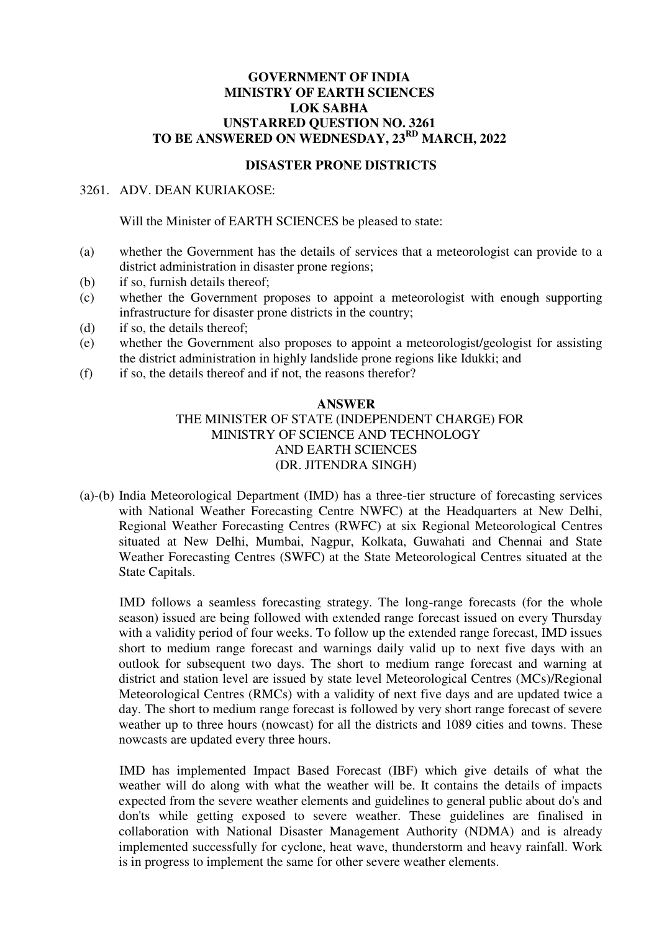### **GOVERNMENT OF INDIA MINISTRY OF EARTH SCIENCES LOK SABHA UNSTARRED QUESTION NO. 3261 TO BE ANSWERED ON WEDNESDAY, 23RD MARCH, 2022**

#### **DISASTER PRONE DISTRICTS**

### 3261. ADV. DEAN KURIAKOSE:

Will the Minister of EARTH SCIENCES be pleased to state:

- (a) whether the Government has the details of services that a meteorologist can provide to a district administration in disaster prone regions;
- (b) if so, furnish details thereof;
- (c) whether the Government proposes to appoint a meteorologist with enough supporting infrastructure for disaster prone districts in the country;
- (d) if so, the details thereof;
- (e) whether the Government also proposes to appoint a meteorologist/geologist for assisting the district administration in highly landslide prone regions like Idukki; and
- (f) if so, the details thereof and if not, the reasons therefor?

## **ANSWER**

# THE MINISTER OF STATE (INDEPENDENT CHARGE) FOR MINISTRY OF SCIENCE AND TECHNOLOGY AND EARTH SCIENCES (DR. JITENDRA SINGH)

(a)-(b) India Meteorological Department (IMD) has a three-tier structure of forecasting services with National Weather Forecasting Centre NWFC) at the Headquarters at New Delhi, Regional Weather Forecasting Centres (RWFC) at six Regional Meteorological Centres situated at New Delhi, Mumbai, Nagpur, Kolkata, Guwahati and Chennai and State Weather Forecasting Centres (SWFC) at the State Meteorological Centres situated at the State Capitals.

IMD follows a seamless forecasting strategy. The long-range forecasts (for the whole season) issued are being followed with extended range forecast issued on every Thursday with a validity period of four weeks. To follow up the extended range forecast, IMD issues short to medium range forecast and warnings daily valid up to next five days with an outlook for subsequent two days. The short to medium range forecast and warning at district and station level are issued by state level Meteorological Centres (MCs)/Regional Meteorological Centres (RMCs) with a validity of next five days and are updated twice a day. The short to medium range forecast is followed by very short range forecast of severe weather up to three hours (nowcast) for all the districts and 1089 cities and towns. These nowcasts are updated every three hours.

IMD has implemented Impact Based Forecast (IBF) which give details of what the weather will do along with what the weather will be. It contains the details of impacts expected from the severe weather elements and guidelines to general public about do's and don'ts while getting exposed to severe weather. These guidelines are finalised in collaboration with National Disaster Management Authority (NDMA) and is already implemented successfully for cyclone, heat wave, thunderstorm and heavy rainfall. Work is in progress to implement the same for other severe weather elements.